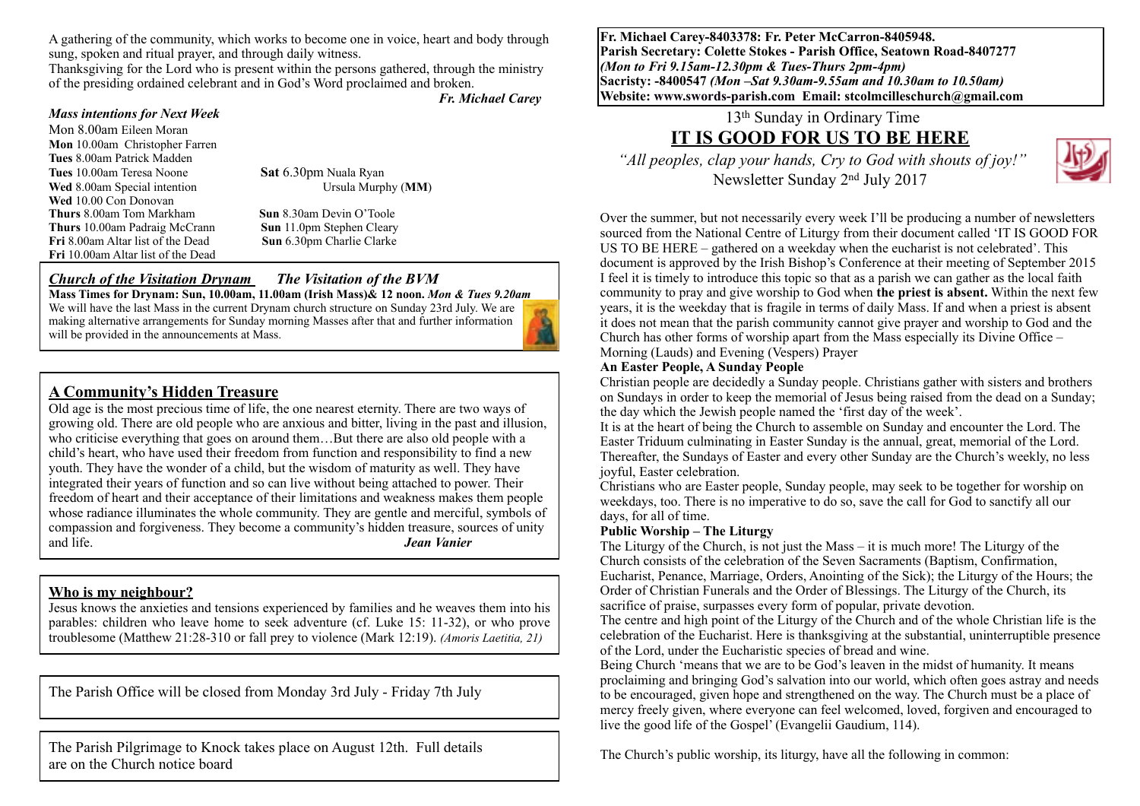A gathering of the community, which works to become one in voice, heart and body through sung, spoken and ritual prayer, and through daily witness.

Thanksgiving for the Lord who is present within the persons gathered, through the ministry of the presiding ordained celebrant and in God's Word proclaimed and broken. *Fr. Michael Carey*

#### *Mass intentions for Next Week*

Mon 8.00am Eileen Moran **Mon** 10.00am Christopher Farren **Tues** 8.00am Patrick Madden **Tues** 10.00am Teresa Noone **Sat** 6.30pm Nuala Ryan<br> **Wed** 8.00am Special intention Ursula Murphy (MM) **Wed** 8.00am Special intention **Wed** 10.00 Con Donovan **Thurs** 8.00am Tom Markham **Sun** 8.30am Devin O'Toole **Thurs** 10.00am Padraig McCrann **Sun** 11.0pm Stephen Cleary **Fri** 8.00am Altar list of the Dead **Sun** 6.30pm Charlie Clarke **Fri** 10.00am Altar list of the Dead

#### *Church of the Visitation Drynam**The Visitation of the BVM*

**Mass Times for Drynam: Sun, 10.00am, 11.00am (Irish Mass)& 12 noon.** *Mon & Tues 9.20am*  We will have the last Mass in the current Drynam church structure on Sunday 23rd July. We are making alternative arrangements for Sunday morning Masses after that and further information will be provided in the announcements at Mass.

### **A Community's Hidden Treasure**

Old age is the most precious time of life, the one nearest eternity. There are two ways of growing old. There are old people who are anxious and bitter, living in the past and illusion, who criticise everything that goes on around them…But there are also old people with a child's heart, who have used their freedom from function and responsibility to find a new youth. They have the wonder of a child, but the wisdom of maturity as well. They have integrated their years of function and so can live without being attached to power. Their freedom of heart and their acceptance of their limitations and weakness makes them people whose radiance illuminates the whole community. They are gentle and merciful, symbols of compassion and forgiveness. They become a community's hidden treasure, sources of unity and life. *Jean Vanier*

#### **Who is my neighbour?**

Jesus knows the anxieties and tensions experienced by families and he weaves them into his parables: children who leave home to seek adventure (cf. Luke 15: 11-32), or who prove troublesome (Matthew 21:28-310 or fall prey to violence (Mark 12:19). *(Amoris Laetitia, 21)*

The Parish Office will be closed from Monday 3rd July - Friday 7th July

The Parish Pilgrimage to Knock takes place on August 12th. Full details are on the Church notice board

**Fr. Michael Carey-8403378: Fr. Peter McCarron-8405948. Parish Secretary: Colette Stokes - Parish Office, Seatown Road-8407277**  *(Mon to Fri 9.15am-12.30pm & Tues-Thurs 2pm-4pm)*  **Sacristy: -8400547** *(Mon –Sat 9.30am-9.55am and 10.30am to 10.50am)* **Website: [www.swords-parish.com Email:](http://www.swords-parish.com%20%20email) stcolmcilleschurch@gmail.com**

13th Sunday in Ordinary Time

# **IT IS GOOD FOR US TO BE HERE**

 *"All peoples, clap your hands, Cry to God with shouts of joy!"*  Newsletter Sunday 2nd July 2017



Over the summer, but not necessarily every week I'll be producing a number of newsletters sourced from the National Centre of Liturgy from their document called 'IT IS GOOD FOR US TO BE HERE – gathered on a weekday when the eucharist is not celebrated'. This document is approved by the Irish Bishop's Conference at their meeting of September 2015 I feel it is timely to introduce this topic so that as a parish we can gather as the local faith community to pray and give worship to God when **the priest is absent.** Within the next few years, it is the weekday that is fragile in terms of daily Mass. If and when a priest is absent it does not mean that the parish community cannot give prayer and worship to God and the Church has other forms of worship apart from the Mass especially its Divine Office – Morning (Lauds) and Evening (Vespers) Prayer

#### **An Easter People, A Sunday People**

Christian people are decidedly a Sunday people. Christians gather with sisters and brothers on Sundays in order to keep the memorial of Jesus being raised from the dead on a Sunday; the day which the Jewish people named the 'first day of the week'.

It is at the heart of being the Church to assemble on Sunday and encounter the Lord. The Easter Triduum culminating in Easter Sunday is the annual, great, memorial of the Lord. Thereafter, the Sundays of Easter and every other Sunday are the Church's weekly, no less joyful, Easter celebration.

Christians who are Easter people, Sunday people, may seek to be together for worship on weekdays, too. There is no imperative to do so, save the call for God to sanctify all our days, for all of time.

#### **Public Worship – The Liturgy**

The Liturgy of the Church, is not just the Mass – it is much more! The Liturgy of the Church consists of the celebration of the Seven Sacraments (Baptism, Confirmation, Eucharist, Penance, Marriage, Orders, Anointing of the Sick); the Liturgy of the Hours; the Order of Christian Funerals and the Order of Blessings. The Liturgy of the Church, its sacrifice of praise, surpasses every form of popular, private devotion.

The centre and high point of the Liturgy of the Church and of the whole Christian life is the celebration of the Eucharist. Here is thanksgiving at the substantial, uninterruptible presence of the Lord, under the Eucharistic species of bread and wine.

Being Church 'means that we are to be God's leaven in the midst of humanity. It means proclaiming and bringing God's salvation into our world, which often goes astray and needs to be encouraged, given hope and strengthened on the way. The Church must be a place of mercy freely given, where everyone can feel welcomed, loved, forgiven and encouraged to live the good life of the Gospel' (Evangelii Gaudium, 114).

The Church's public worship, its liturgy, have all the following in common: